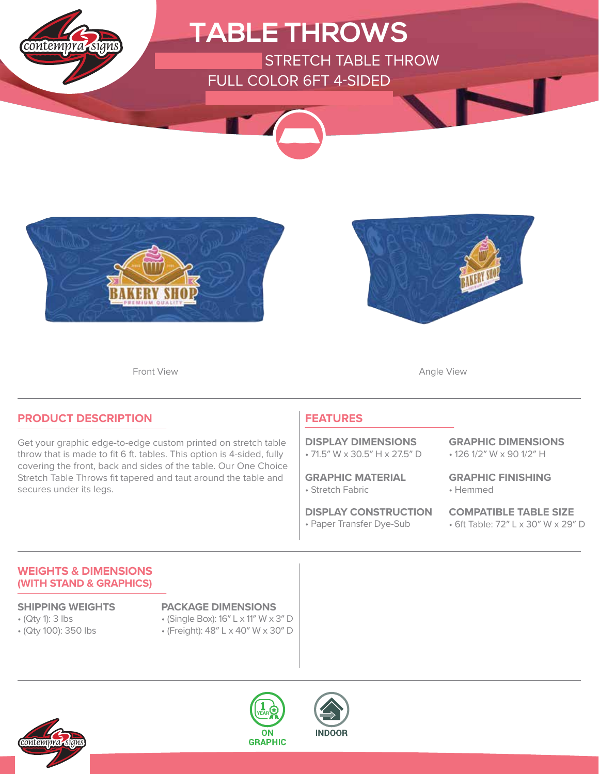





Front View **Angle View Angle View** 

### **PRODUCT DESCRIPTION**

Get your graphic edge-to-edge custom printed on stretch table throw that is made to fit 6 ft. tables. This option is 4-sided, fully covering the front, back and sides of the table. Our One Choice Stretch Table Throws fit tapered and taut around the table and secures under its legs.

### **FEATURES**

• 71.5″ W x 30.5″ H x 27.5″ D **DISPLAY DIMENSIONS**

• Stretch Fabric **GRAPHIC MATERIAL**

• Paper Transfer Dye-Sub **DISPLAY CONSTRUCTION** • 126 1/2″ W x 90 1/2″ H **GRAPHIC DIMENSIONS**

• Hemmed **GRAPHIC FINISHING**

• 6ft Table: 72″ L x 30″ W x 29″ D **COMPATIBLE TABLE SIZE**

### **WEIGHTS & DIMENSIONS (WITH STAND & GRAPHICS)**

- (Qty 1): 3 lbs
- (Qty 100): 350 lbs

### **SHIPPING WEIGHTS PACKAGE DIMENSIONS**

- (Single Box): 16″ L x 11″ W x 3″ D
- (Freight): 48″ L x 40″ W x 30″ D